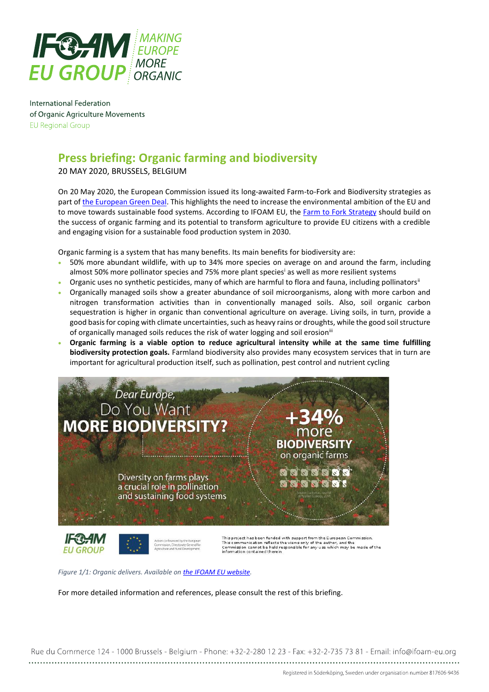

International Federation of Organic Agriculture Movements **EU Regional Group** 

# **Press briefing: Organic farming and biodiversity**

20 MAY 2020, BRUSSELS, BELGIUM

On 20 May 2020, the European Commission issued its long-awaited Farm-to-Fork and Biodiversity strategies as part o[f the European Green Deal.](https://ec.europa.eu/info/strategy/priorities-2019-2024/european-green-deal_en) This highlights the need to increase the environmental ambition of the EU and to move towards sustainable food systems. According to IFOAM EU, the [Farm to Fork Strategy](https://ec.europa.eu/food/farm2fork_en) should build on the success of organic farming and its potential to transform agriculture to provide EU citizens with a credible and engaging vision for a sustainable food production system in 2030.

Organic farming is a system that has many benefits. Its main benefits for biodiversity are:

- 50% more abundant wildlife, with up to 34% more species on average on and around the farm, including almost 50% more pollinator species and 75% more plant species<sup>i</sup> as well as more resilient systems
- Organic uses no synthetic pesticides, many of which are harmful to flora and fauna, including pollinators"
- Organically managed soils show a greater abundance of soil microorganisms, along with more carbon and nitrogen transformation activities than in conventionally managed soils. Also, soil organic carbon sequestration is higher in organic than conventional agriculture on average. Living soils, in turn, provide a good basis for coping with climate uncertainties, such as heavy rains or droughts, while the good soil structure of organically managed soils reduces the risk of water logging and soil erosion<sup>iii</sup>
- **Organic farming is a viable option to reduce agricultural intensity while at the same time fulfilling biodiversity protection goals.** Farmland biodiversity also provides many ecosystem services that in turn are important for agricultural production itself, such as pollination, pest control and nutrient cycling



*Figure 1/1: Organic delivers. Available o[n the IFOAM EU website.](https://www.ifoam-eu.org/en/organic-europe/organic-delivers)*

For more detailed information and references, please consult the rest of this briefing.

Rue du Commerce 124 - 1000 Brussels - Belgium - Phone: +32-2-280 12 23 - Fax: +32-2-735 73 81 - Email: info@ifoam-eu.org

Registered in Söderköping, Sweden under organisation number 817606-9436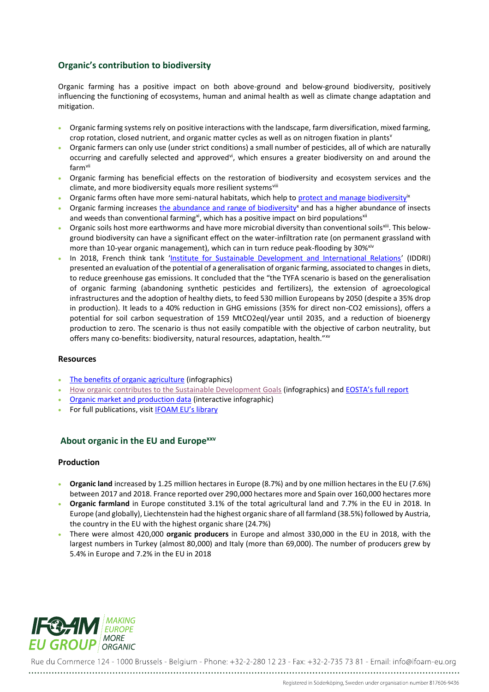### **Organic's contribution to biodiversity**

Organic farming has a positive impact on both above-ground and below-ground biodiversity, positively influencing the functioning of ecosystems, human and animal health as well as climate change adaptation and mitigation.

- Organic farming systems rely on positive interactions with the landscape, farm diversification, mixed farming, crop rotation, closed nutrient, and organic matter cycles as well as on nitrogen fixation in plants<sup>v</sup>
- Organic farmers can only use (under strict conditions) a small number of pesticides, all of which are naturally occurring and carefully selected and approved<sup>vi</sup>, which ensures a greater biodiversity on and around the farmvii
- Organic farming has beneficial effects on the restoration of biodiversity and ecosystem services and the climate, and more biodiversity equals more resilient systemsvili
- Organic farms often have more semi-natural habitats, which help to protect and [manage biodiversity](https://www.ifoam-eu.org/sites/default/files/organicbenefits2.jpg)<sup>ix</sup>
- Organic farming increases the abundance and [range of biodiversity](https://www.ifoam-eu.org/sites/default/files/organicbenefits1.jpg)<sup>x</sup> and has a higher abundance of insects and weeds than conventional farming<sup>xi</sup>, which has a positive impact on bird populations<sup>xii</sup>
- Organic soils host more earthworms and have more microbial diversity than conventional soils<sup>xiii</sup>. This belowground biodiversity can have a significant effect on the water-infiltration rate (on permanent grassland with more than 10-year organic management), which can in turn reduce peak-flooding by 30%<sup>xiv</sup>
- In 2018, French think tank '[Institute for Sustainable Development and International Relations](https://www.iddri.org/en)' (IDDRI) presented an evaluation of the potential of a generalisation of organic farming, associated to changes in diets, to reduce greenhouse gas emissions. It concluded that the "the TYFA scenario is based on the generalisation of organic farming (abandoning synthetic pesticides and fertilizers), the extension of agroecological infrastructures and the adoption of healthy diets, to feed 530 million Europeans by 2050 (despite a 35% drop in production). It leads to a 40% reduction in GHG emissions (35% for direct non-CO2 emissions), offers a potential for soil carbon sequestration of 159 MtCO2eql/year until 2035, and a reduction of bioenergy production to zero. The scenario is thus not easily compatible with the objective of carbon neutrality, but offers many co-benefits: biodiversity, natural resources, adaptation, health."<sup>xv</sup>

#### **Resources**

- [The benefits of organic agriculture](https://www.ifoam-eu.org/en/organic-europe/organic-delivers) (infographics)
- [How organic contributes to the Sustainable Development Goals](https://www.ifoam-eu.org/en/library/organic-infographics) (infographics) and [EOSTA's full report](https://www.eosta.com/sites/www.eosta.com/files/documenten/nm_final_report_en_lr.pdf)
- [Organic market and production data](https://www.ifoam-eu.org/en/organic-europe) (interactive infographic)
- For full publications, visit **[IFOAM EU's library](https://www.ifoam-eu.org/en/library-2)**

#### **About organic in the EU and Europexxv**

#### **Production**

- **Organic land** increased by 1.25 million hectares in Europe (8.7%) and by one million hectares in the EU (7.6%) between 2017 and 2018. France reported over 290,000 hectares more and Spain over 160,000 hectares more
- **Organic farmland** in Europe constituted 3.1% of the total agricultural land and 7.7% in the EU in 2018. In Europe (and globally), Liechtenstein had the highest organic share of all farmland (38.5%) followed by Austria, the country in the EU with the highest organic share (24.7%)
- There were almost 420,000 **organic producers** in Europe and almost 330,000 in the EU in 2018, with the largest numbers in Turkey (almost 80,000) and Italy (more than 69,000). The number of producers grew by 5.4% in Europe and 7.2% in the EU in 2018



Rue du Commerce 124 - 1000 Brussels - Belgium - Phone: +32-2-280 12 23 - Fax: +32-2-735 73 81 - Email: info@ifoam-eu.org